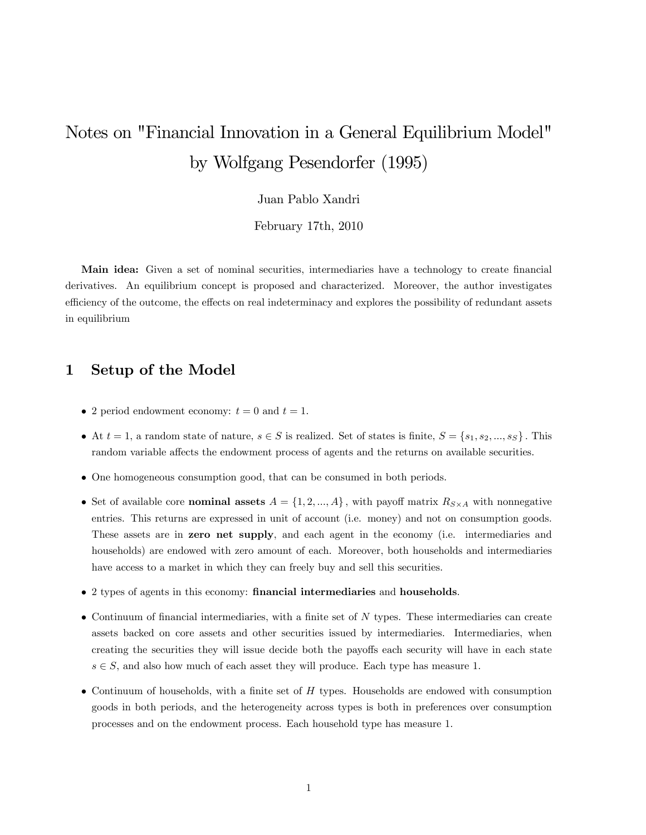# Notes on "Financial Innovation in a General Equilibrium Model" by Wolfgang Pesendorfer (1995)

Juan Pablo Xandri

February 17th, 2010

Main idea: Given a set of nominal securities, intermediaries have a technology to create financial derivatives. An equilibrium concept is proposed and characterized. Moreover, the author investigates efficiency of the outcome, the effects on real indeterminacy and explores the possibility of redundant assets in equilibrium

# 1 Setup of the Model

- 2 period endowment economy:  $t = 0$  and  $t = 1$ .
- $\bullet$  At  $t = 1$ , a random state of nature,  $s \in S$  is realized. Set of states is finite,  $S = \{s_1, s_2, ..., s_S\}$ . This random variable affects the endowment process of agents and the returns on available securities.
- One homogeneous consumption good, that can be consumed in both periods.
- Set of available core **nominal assets**  $A = \{1, 2, ..., A\}$ , with payoff matrix  $R_{S \times A}$  with nonnegative entries. This returns are expressed in unit of account (i.e. money) and not on consumption goods. These assets are in zero net supply, and each agent in the economy (i.e. intermediaries and households) are endowed with zero amount of each. Moreover, both households and intermediaries have access to a market in which they can freely buy and sell this securities.
- 2 types of agents in this economy: financial intermediaries and households.
- $\bullet$  Continuum of financial intermediaries, with a finite set of N types. These intermediaries can create assets backed on core assets and other securities issued by intermediaries. Intermediaries, when creating the securities they will issue decide both the payoffs each security will have in each state  $s \in S$ , and also how much of each asset they will produce. Each type has measure 1.
- $\bullet$  Continuum of households, with a finite set of H types. Households are endowed with consumption goods in both periods, and the heterogeneity across types is both in preferences over consumption processes and on the endowment process. Each household type has measure 1: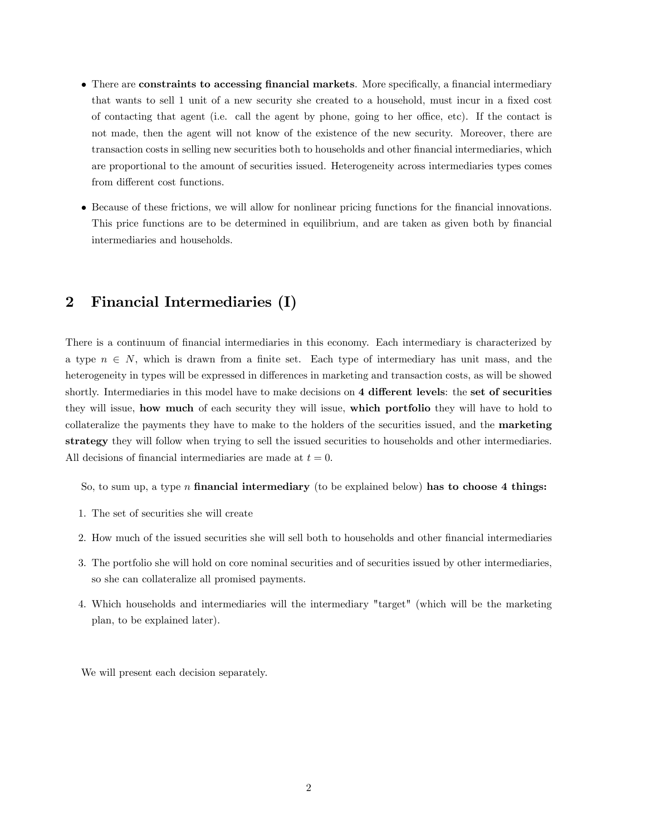- There are constraints to accessing financial markets. More specifically, a financial intermediary that wants to sell 1 unit of a new security she created to a household, must incur in a fixed cost of contacting that agent (i.e. call the agent by phone, going to her office, etc). If the contact is not made, then the agent will not know of the existence of the new security. Moreover, there are transaction costs in selling new securities both to households and other financial intermediaries, which are proportional to the amount of securities issued. Heterogeneity across intermediaries types comes from different cost functions.
- Because of these frictions, we will allow for nonlinear pricing functions for the Önancial innovations. This price functions are to be determined in equilibrium, and are taken as given both by financial intermediaries and households.

### 2 Financial Intermediaries (I)

There is a continuum of financial intermediaries in this economy. Each intermediary is characterized by a type  $n \in N$ , which is drawn from a finite set. Each type of intermediary has unit mass, and the heterogeneity in types will be expressed in differences in marketing and transaction costs, as will be showed shortly. Intermediaries in this model have to make decisions on 4 different levels: the set of securities they will issue, how much of each security they will issue, which portfolio they will have to hold to collateralize the payments they have to make to the holders of the securities issued, and the marketing strategy they will follow when trying to sell the issued securities to households and other intermediaries. All decisions of financial intermediaries are made at  $t = 0$ .

So, to sum up, a type n financial intermediary (to be explained below) has to choose 4 things:

- 1. The set of securities she will create
- 2. How much of the issued securities she will sell both to households and other financial intermediaries
- 3. The portfolio she will hold on core nominal securities and of securities issued by other intermediaries, so she can collateralize all promised payments.
- 4. Which households and intermediaries will the intermediary "target" (which will be the marketing plan, to be explained later).

We will present each decision separately.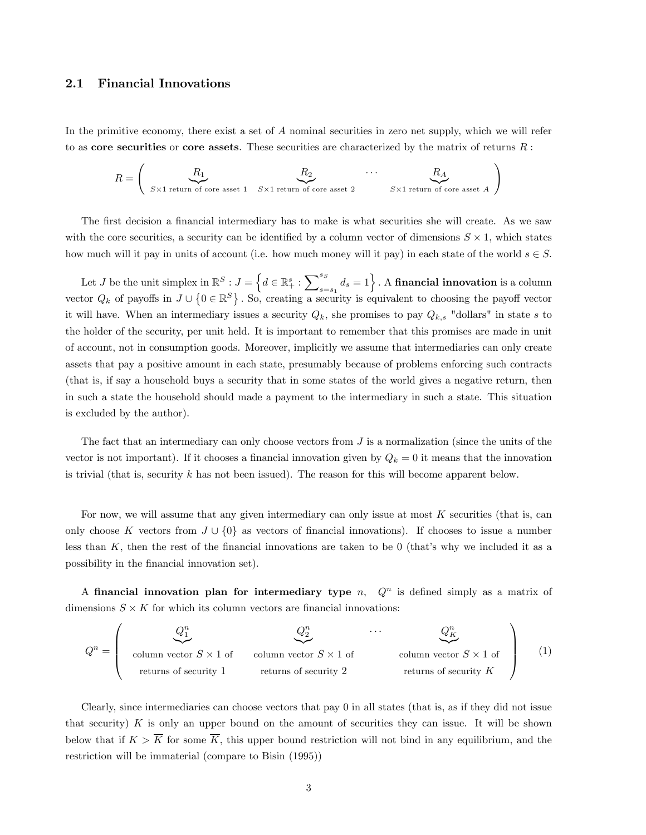### 2.1 Financial Innovations

In the primitive economy, there exist a set of A nominal securities in zero net supply, which we will refer to as core securities or core assets. These securities are characterized by the matrix of returns  $R$ :

$$
R = \left(\begin{array}{c} R_1 \\ S \times 1 \text{ return of core asset 1} \\ \end{array} \begin{array}{c} R_2 \\ S \times 1 \text{ return of core asset 2} \\ \end{array} \begin{array}{c} \cdots \\ S \times 1 \text{ return of core asset } A \end{array}\right)
$$

The first decision a financial intermediary has to make is what securities she will create. As we saw with the core securities, a security can be identified by a column vector of dimensions  $S \times 1$ , which states how much will it pay in units of account (i.e. how much money will it pay) in each state of the world  $s \in S$ .

Let J be the unit simplex in  $\mathbb{R}^S : J = \Big\{ d \in \mathbb{R}^s_+ : \sum_{s=1}^{s_S} d_s \Big\}$  $\begin{pmatrix} s_S \ s_{S- s_1} \end{pmatrix}$ . A financial innovation is a column vector  $Q_k$  of payoffs in  $J \cup \{0 \in \mathbb{R}^S\}$ . So, creating a security is equivalent to choosing the payoff vector it will have. When an intermediary issues a security  $Q_k$ , she promises to pay  $Q_{k,s}$  "dollars" in state s to the holder of the security, per unit held. It is important to remember that this promises are made in unit of account, not in consumption goods. Moreover, implicitly we assume that intermediaries can only create assets that pay a positive amount in each state, presumably because of problems enforcing such contracts (that is, if say a household buys a security that in some states of the world gives a negative return, then in such a state the household should made a payment to the intermediary in such a state. This situation is excluded by the author).

The fact that an intermediary can only choose vectors from J is a normalization (since the units of the vector is not important). If it chooses a financial innovation given by  $Q_k = 0$  it means that the innovation is trivial (that is, security  $k$  has not been issued). The reason for this will become apparent below.

For now, we will assume that any given intermediary can only issue at most  $K$  securities (that is, can only choose K vectors from  $J \cup \{0\}$  as vectors of financial innovations). If chooses to issue a number less than  $K$ , then the rest of the financial innovations are taken to be 0 (that's why we included it as a possibility in the Önancial innovation set).

A financial innovation plan for intermediary type  $n$ ,  $Q<sup>n</sup>$  is defined simply as a matrix of dimensions  $S \times K$  for which its column vectors are financial innovations:

$$
Q^{n} = \begin{pmatrix} Q_{1}^{n} & Q_{2}^{n} & \cdots & Q_{K}^{n} \\ \vdots & \vdots & \ddots & \vdots \\ \vdots & \vdots & \ddots & \vdots \\ \vdots & \vdots & \ddots & \vdots \\ \vdots & \vdots & \ddots & \vdots \\ \vdots & \vdots & \ddots & \vdots \\ \vdots & \vdots & \ddots & \vdots \\ \vdots & \vdots & \ddots & \vdots \\ \vdots & \vdots & \ddots & \vdots \\ \vdots & \vdots & \ddots & \vdots \\ \vdots & \vdots & \ddots & \vdots \\ \vdots & \vdots & \ddots & \vdots \\ \vdots & \vdots & \ddots & \vdots \\ \vdots & \vdots & \ddots & \vdots \\ \vdots & \vdots & \ddots & \vdots \\ \vdots & \vdots & \ddots & \vdots \\ \vdots & \vdots & \ddots & \vdots \\ \vdots & \vdots & \ddots & \vdots \\ \vdots & \vdots & \ddots & \vdots \\ \vdots & \vdots & \ddots & \vdots \\ \vdots & \vdots & \ddots & \vdots \\ \vdots & \vdots & \ddots & \vdots \\ \vdots & \vdots & \ddots & \vdots \\ \vdots & \vdots & \ddots & \vdots \\ \vdots & \vdots & \ddots & \vdots \\ \vdots & \vdots & \ddots & \vdots \\ \vdots & \vdots & \ddots & \vdots \\ \vdots & \vdots & \ddots & \vdots \\ \vdots & \vdots & \ddots & \vdots \\ \vdots & \vdots & \ddots & \vdots \\ \vdots & \vdots & \ddots & \vdots \\ \vdots & \vdots & \ddots & \vdots \\ \vdots & \vdots & \ddots & \vdots \\ \vdots & \vdots & \ddots & \vdots \\ \vdots & \vdots & \ddots & \vdots \\ \vdots & \vdots & \ddots & \vdots \\ \vdots & \vdots & \ddots & \vdots \\ \vdots & \vdots & \ddots & \vdots \\ \vdots & \vdots & \ddots & \vdots \\ \vdots & \vdots & \ddots & \vdots \\ \vdots & \vdots & \ddots & \vdots \\ \vdots & \vdots & \ddots & \vdots \\ \vdots & \vdots & \ddots & \vdots \\ \vdots & \vdots & \ddots & \vdots \\ \vdots & \vdots & \ddots & \vdots \\ \vdots & \vdots & \ddots & \vdots \\
$$

Clearly, since intermediaries can choose vectors that pay 0 in all states (that is, as if they did not issue that security)  $K$  is only an upper bound on the amount of securities they can issue. It will be shown below that if  $K > \overline{K}$  for some  $\overline{K}$ , this upper bound restriction will not bind in any equilibrium, and the restriction will be immaterial (compare to Bisin (1995))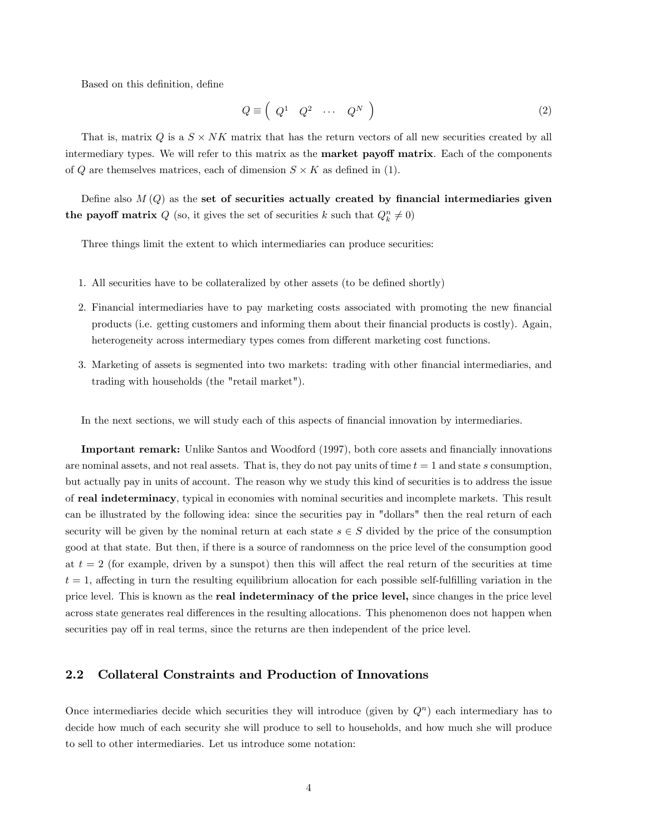Based on this definition, define

$$
Q \equiv \left( \begin{array}{cccc} Q^1 & Q^2 & \cdots & Q^N \end{array} \right) \tag{2}
$$

That is, matrix  $Q$  is a  $S \times NK$  matrix that has the return vectors of all new securities created by all intermediary types. We will refer to this matrix as the **market payoff matrix**. Each of the components of Q are themselves matrices, each of dimension  $S \times K$  as defined in (1).

Define also  $M(Q)$  as the set of securities actually created by financial intermediaries given the payoff matrix  $Q$  (so, it gives the set of securities k such that  $Q_k^n \neq 0$ )

Three things limit the extent to which intermediaries can produce securities:

- 1. All securities have to be collateralized by other assets (to be defined shortly)
- 2. Financial intermediaries have to pay marketing costs associated with promoting the new financial products (i.e. getting customers and informing them about their Önancial products is costly). Again, heterogeneity across intermediary types comes from different marketing cost functions.
- 3. Marketing of assets is segmented into two markets: trading with other financial intermediaries, and trading with households (the "retail market").

In the next sections, we will study each of this aspects of financial innovation by intermediaries.

Important remark: Unlike Santos and Woodford (1997), both core assets and financially innovations are nominal assets, and not real assets. That is, they do not pay units of time  $t = 1$  and state s consumption, but actually pay in units of account. The reason why we study this kind of securities is to address the issue of real indeterminacy, typical in economies with nominal securities and incomplete markets. This result can be illustrated by the following idea: since the securities pay in "dollars" then the real return of each security will be given by the nominal return at each state  $s \in S$  divided by the price of the consumption good at that state. But then, if there is a source of randomness on the price level of the consumption good at  $t = 2$  (for example, driven by a sunspot) then this will affect the real return of the securities at time  $t = 1$ , affecting in turn the resulting equilibrium allocation for each possible self-fulfilling variation in the price level. This is known as the real indeterminacy of the price level, since changes in the price level across state generates real differences in the resulting allocations. This phenomenon does not happen when securities pay off in real terms, since the returns are then independent of the price level.

### 2.2 Collateral Constraints and Production of Innovations

Once intermediaries decide which securities they will introduce (given by  $Q<sup>n</sup>$ ) each intermediary has to decide how much of each security she will produce to sell to households, and how much she will produce to sell to other intermediaries. Let us introduce some notation: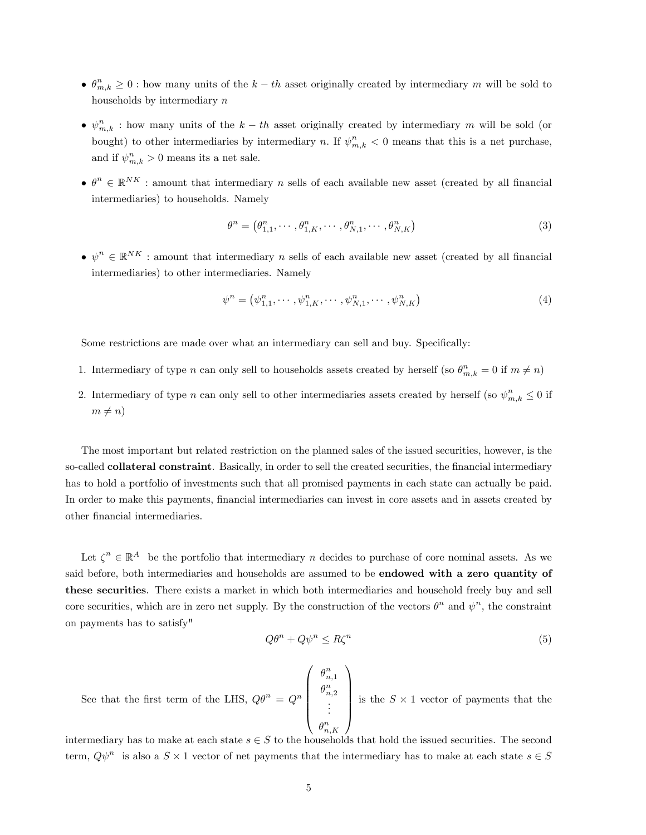- $\bullet$   $\theta_{m,k}^n \geq 0$ : how many units of the  $k-th$  asset originally created by intermediary m will be sold to households by intermediary n
- $\bullet$   $\psi_{m,k}^{n}$ : how many units of the  $k-th$  asset originally created by intermediary m will be sold (or bought) to other intermediaries by intermediary n. If  $\psi_{m,k}^n < 0$  means that this is a net purchase, and if  $\psi_{m,k}^n > 0$  means its a net sale.
- $\bullet \ \theta^n \in \mathbb{R}^{NK}$  : amount that intermediary n sells of each available new asset (created by all financial intermediaries) to households. Namely

$$
\theta^n = \left(\theta_{1,1}^n, \cdots, \theta_{1,K}^n, \cdots, \theta_{N,1}^n, \cdots, \theta_{N,K}^n\right) \tag{3}
$$

 $\bullet \psi^n \in \mathbb{R}^{NK}$  : amount that intermediary n sells of each available new asset (created by all financial intermediaries) to other intermediaries. Namely

$$
\psi^{n} = (\psi^{n}_{1,1}, \cdots, \psi^{n}_{1,K}, \cdots, \psi^{n}_{N,1}, \cdots, \psi^{n}_{N,K})
$$
\n(4)

Some restrictions are made over what an intermediary can sell and buy. Specifically:

- 1. Intermediary of type n can only sell to households assets created by herself (so  $\theta_{m,k}^n = 0$  if  $m \neq n$ )
- 2. Intermediary of type n can only sell to other intermediaries assets created by herself (so  $\psi_{m,k}^n \leq 0$  if  $m \neq n$

The most important but related restriction on the planned sales of the issued securities, however, is the so-called **collateral constraint**. Basically, in order to sell the created securities, the financial intermediary has to hold a portfolio of investments such that all promised payments in each state can actually be paid. In order to make this payments, financial intermediaries can invest in core assets and in assets created by other Önancial intermediaries.

Let  $\zeta^n \in \mathbb{R}^A$  be the portfolio that intermediary n decides to purchase of core nominal assets. As we said before, both intermediaries and households are assumed to be **endowed with a zero quantity of** these securities. There exists a market in which both intermediaries and household freely buy and sell core securities, which are in zero net supply. By the construction of the vectors  $\theta^n$  and  $\psi^n$ , the constraint on payments has to satisfy"

 $\sqrt{ }$ 

$$
Q\theta^n + Q\psi^n \le R\zeta^n \tag{5}
$$

See that the first term of the LHS,  $Q\theta^n = Q^n$  $\overline{\phantom{a}}$  $\theta_{n,1}^n$  $\theta_{n,2}^n$ <br>:  $\theta_{n,K}^n$  $\begin{array}{c} \hline \end{array}$ is the  $S \times 1$  vector of payments that the

1

intermediary has to make at each state  $s \in S$  to the households that hold the issued securities. The second term,  $Q\psi^n$  is also a  $S \times 1$  vector of net payments that the intermediary has to make at each state  $s \in S$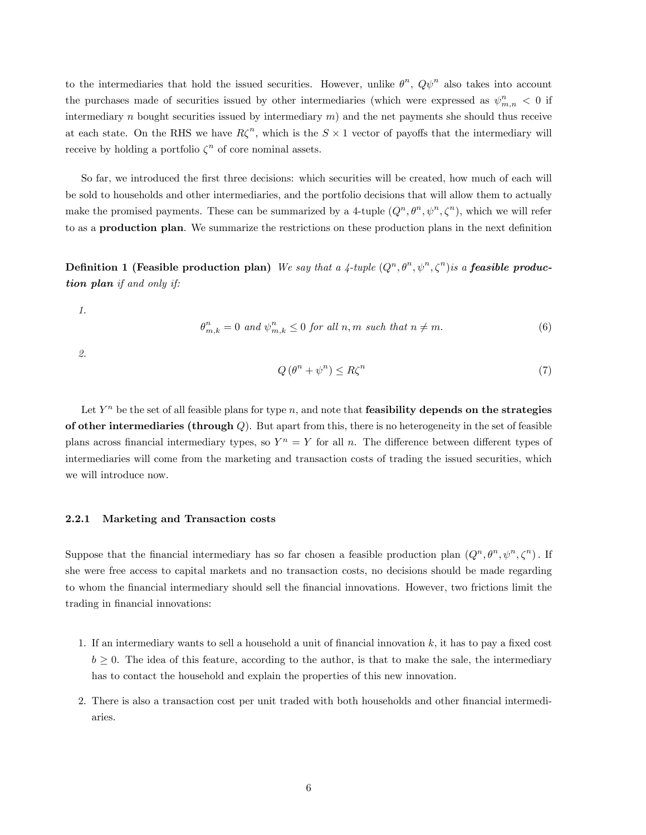to the intermediaries that hold the issued securities. However, unlike  $\theta^n$ ,  $Q\psi^n$  also takes into account the purchases made of securities issued by other intermediaries (which were expressed as  $\psi^n_{m,n} < 0$  if intermediary n bought securities issued by intermediary  $m$ ) and the net payments she should thus receive at each state. On the RHS we have  $R\zeta^n$ , which is the  $S \times 1$  vector of payoffs that the intermediary will receive by holding a portfolio  $\zeta^n$  of core nominal assets.

So far, we introduced the first three decisions: which securities will be created, how much of each will be sold to households and other intermediaries, and the portfolio decisions that will allow them to actually make the promised payments. These can be summarized by a 4-tuple  $(Q^n, \theta^n, \psi^n, \zeta^n)$ , which we will refer to as a **production plan**. We summarize the restrictions on these production plans in the next definition

Definition 1 (Feasible production plan) We say that a 4-tuple  $(Q^n, \theta^n, \psi^n, \zeta^n)$  is a feasible production plan if and only if:

1.

$$
\theta_{m,k}^n = 0 \text{ and } \psi_{m,k}^n \le 0 \text{ for all } n,m \text{ such that } n \ne m. \tag{6}
$$

2.

$$
Q(\theta^n + \psi^n) \le R\zeta^n \tag{7}
$$

Let  $Y^n$  be the set of all feasible plans for type n, and note that **feasibility depends on the strategies** of other intermediaries (through  $Q$ ). But apart from this, there is no heterogeneity in the set of feasible plans across financial intermediary types, so  $Y^n = Y$  for all n. The difference between different types of intermediaries will come from the marketing and transaction costs of trading the issued securities, which we will introduce now.

#### 2.2.1 Marketing and Transaction costs

Suppose that the financial intermediary has so far chosen a feasible production plan  $(Q^n, \theta^n, \psi^n, \zeta^n)$ . If she were free access to capital markets and no transaction costs, no decisions should be made regarding to whom the Önancial intermediary should sell the Önancial innovations. However, two frictions limit the trading in financial innovations:

- 1. If an intermediary wants to sell a household a unit of financial innovation  $k$ , it has to pay a fixed cost  $b \geq 0$ . The idea of this feature, according to the author, is that to make the sale, the intermediary has to contact the household and explain the properties of this new innovation.
- 2. There is also a transaction cost per unit traded with both households and other financial intermediaries.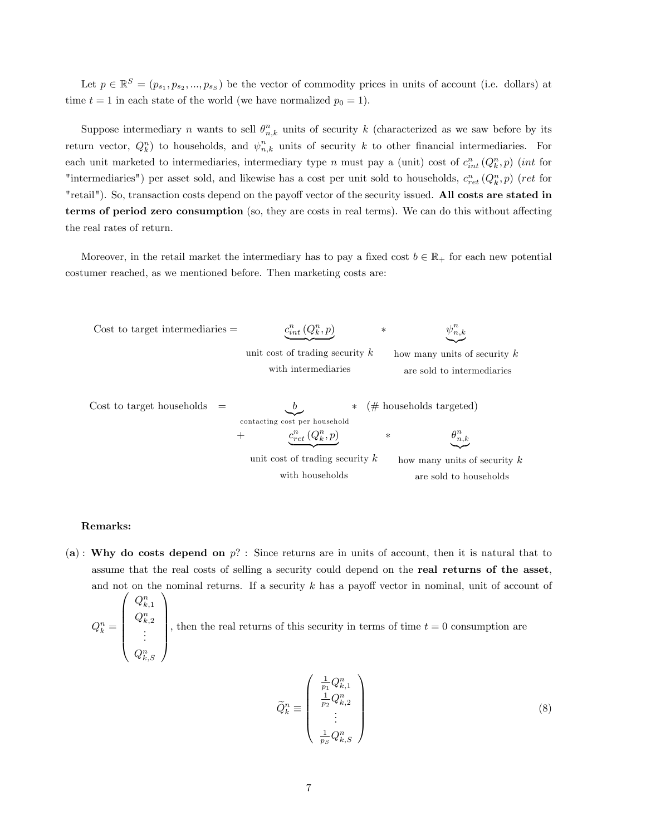Let  $p \in \mathbb{R}^S = (p_{s_1}, p_{s_2}, ..., p_{s_S})$  be the vector of commodity prices in units of account (i.e. dollars) at time  $t = 1$  in each state of the world (we have normalized  $p_0 = 1$ ).

Suppose intermediary n wants to sell  $\theta_{n,k}^n$  units of security k (characterized as we saw before by its return vector,  $Q_k^n$  to households, and  $\psi_{n,k}^n$  units of security k to other financial intermediaries. For each unit marketed to intermediaries, intermediary type n must pay a (unit) cost of  $c_{int}^n(Q_k^n, p)$  (int for "intermediaries") per asset sold, and likewise has a cost per unit sold to households,  $c_{ret}^n(Q_k^n, p)$  (ret for "retail"). So, transaction costs depend on the payoff vector of the security issued. All costs are stated in terms of period zero consumption (so, they are costs in real terms). We can do this without affecting the real rates of return.

Moreover, in the retail market the intermediary has to pay a fixed cost  $b \in \mathbb{R}_+$  for each new potential costumer reached, as we mentioned before. Then marketing costs are:

Cost to target intermediaries = 
$$
\underbrace{c_{int}^{n}(Q_{k}^{n}, p)}_{\text{unit cost of trading security }k} \times \underbrace{\psi_{n,k}^{n}}_{\text{how many units of security }k}
$$
\n
$$
\text{Cost to target households } = \underbrace{b}_{\text{contacting cost per household}} \times (\# \text{households targeted})
$$
\n
$$
+ \underbrace{c_{ret}^{n}(Q_{k}^{n}, p)}_{\text{unit cost of trading security }k} \times \underbrace{\theta_{n,k}^{n}}_{\text{how many units of security }k}
$$
\n
$$
\underbrace{\psi_{n,k}^{n}}_{\text{with households}} \times \underbrace{\psi_{n,k}^{n}}_{\text{with households}} \times \underbrace{\psi_{n,k}^{n}}_{\text{not all to intermediate}} \times \underbrace{\psi_{n,k}^{n}}_{\text{with households}} \times \underbrace{\psi_{n,k}^{n}}_{\text{not all to household }k}
$$

#### Remarks:

(a): Why do costs depend on  $p$ ? : Since returns are in units of account, then it is natural that to assume that the real costs of selling a security could depend on the real returns of the asset, and not on the nominal returns. If a security  $k$  has a payoff vector in nominal, unit of account of

$$
Q_k^n = \begin{pmatrix} Q_{k,1}^n \\ Q_{k,2}^n \\ \vdots \\ Q_{k,S}^n \end{pmatrix}
$$
, then the real returns of this security in terms of time  $t = 0$  consumption are

$$
\widetilde{Q}_k^n \equiv \left( \begin{array}{c} \frac{1}{p_1} Q_{k,1}^n \\ \frac{1}{p_2} Q_{k,2}^n \\ \vdots \\ \frac{1}{p_S} Q_{k,S}^n \end{array} \right) \tag{8}
$$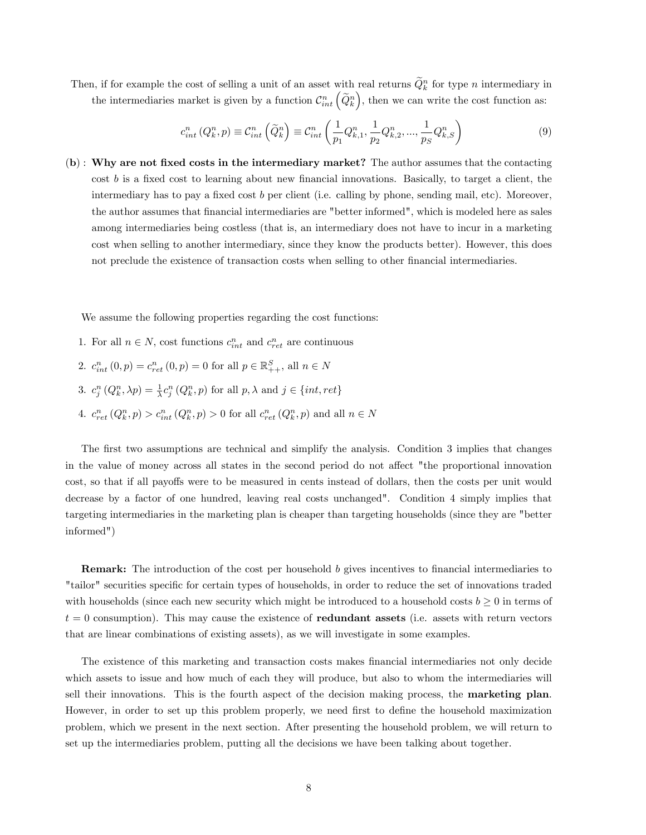Then, if for example the cost of selling a unit of an asset with real returns  $\tilde{Q}_k^n$  for type n intermediary in the intermediaries market is given by a function  $\mathcal{C}_{int}^n\left(\widetilde{Q}_k^n\right)$ , then we can write the cost function as:

$$
c_{int}^{n}(Q_{k}^{n},p) \equiv C_{int}^{n}\left(\tilde{Q}_{k}^{n}\right) \equiv C_{int}^{n}\left(\frac{1}{p_{1}}Q_{k,1}^{n},\frac{1}{p_{2}}Q_{k,2}^{n},...,\frac{1}{p_{S}}Q_{k,S}^{n}\right)
$$
(9)

 $(b)$ : Why are not fixed costs in the intermediary market? The author assumes that the contacting cost  $b$  is a fixed cost to learning about new financial innovations. Basically, to target a client, the intermediary has to pay a fixed cost  $b$  per client (i.e. calling by phone, sending mail, etc). Moreover, the author assumes that Önancial intermediaries are "better informed", which is modeled here as sales among intermediaries being costless (that is, an intermediary does not have to incur in a marketing cost when selling to another intermediary, since they know the products better). However, this does not preclude the existence of transaction costs when selling to other financial intermediaries.

We assume the following properties regarding the cost functions:

- 1. For all  $n \in N$ , cost functions  $c_{int}^n$  and  $c_{ret}^n$  are continuous
- 2.  $c_{int}^{n}(0, p) = c_{ret}^{n}(0, p) = 0$  for all  $p \in \mathbb{R}_{++}^{S}$ , all  $n \in N$
- 3.  $c_j^n(Q_k^n, \lambda p) = \frac{1}{\lambda} c_j^n(Q_k^n, p)$  for all  $p, \lambda$  and  $j \in \{int, ret\}$
- 4.  $c_{ret}^n(Q_k^n, p) > c_{int}^n(Q_k^n, p) > 0$  for all  $c_{ret}^n(Q_k^n, p)$  and all  $n \in N$

The first two assumptions are technical and simplify the analysis. Condition 3 implies that changes in the value of money across all states in the second period do not affect "the proportional innovation cost, so that if all payoffs were to be measured in cents instead of dollars, then the costs per unit would decrease by a factor of one hundred, leaving real costs unchanged". Condition 4 simply implies that targeting intermediaries in the marketing plan is cheaper than targeting households (since they are "better informed")

**Remark:** The introduction of the cost per household  $b$  gives incentives to financial intermediaries to "tailor" securities specific for certain types of households, in order to reduce the set of innovations traded with households (since each new security which might be introduced to a household costs  $b \geq 0$  in terms of  $t = 0$  consumption). This may cause the existence of **redundant assets** (i.e. assets with return vectors that are linear combinations of existing assets), as we will investigate in some examples.

The existence of this marketing and transaction costs makes Önancial intermediaries not only decide which assets to issue and how much of each they will produce, but also to whom the intermediaries will sell their innovations. This is the fourth aspect of the decision making process, the marketing plan. However, in order to set up this problem properly, we need first to define the household maximization problem, which we present in the next section. After presenting the household problem, we will return to set up the intermediaries problem, putting all the decisions we have been talking about together.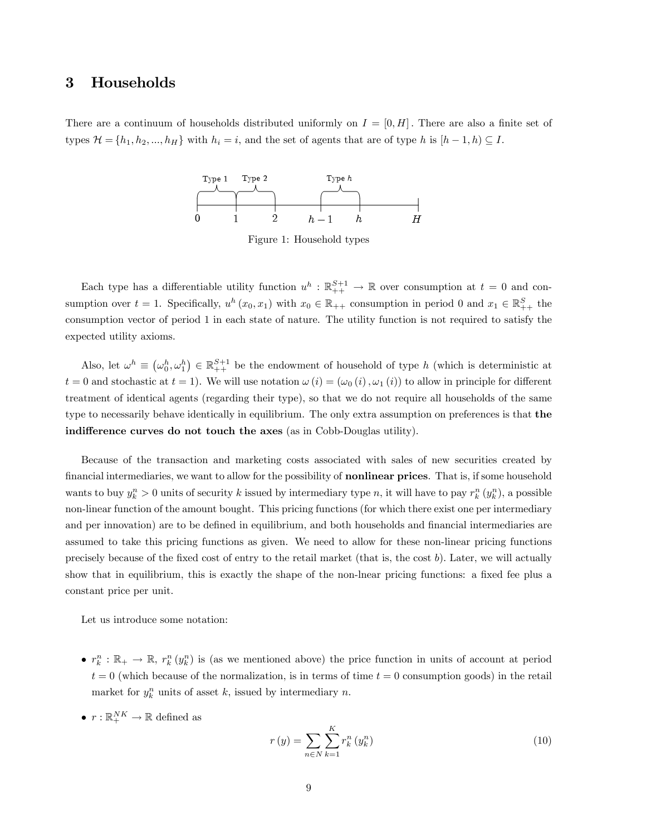# 3 Households

There are a continuum of households distributed uniformly on  $I = [0, H]$ . There are also a finite set of types  $\mathcal{H} = \{h_1, h_2, ..., h_H\}$  with  $h_i = i$ , and the set of agents that are of type h is  $[h-1, h) \subseteq I$ .



Figure 1: Household types

Each type has a differentiable utility function  $u^h : \mathbb{R}^{S+1}_{++} \to \mathbb{R}$  over consumption at  $t = 0$  and consumption over  $t = 1$ . Specifically,  $u^h(x_0, x_1)$  with  $x_0 \in \mathbb{R}_{++}$  consumption in period 0 and  $x_1 \in \mathbb{R}_{++}^S$  the consumption vector of period 1 in each state of nature. The utility function is not required to satisfy the expected utility axioms.

Also, let  $\omega^h \equiv (\omega_0^h, \omega_1^h) \in \mathbb{R}_{++}^{S+1}$  be the endowment of household of type h (which is deterministic at  $t = 0$  and stochastic at  $t = 1$ ). We will use notation  $\omega(i) = (\omega_0(i), \omega_1(i))$  to allow in principle for different treatment of identical agents (regarding their type), so that we do not require all households of the same type to necessarily behave identically in equilibrium. The only extra assumption on preferences is that the indifference curves do not touch the axes (as in Cobb-Douglas utility).

Because of the transaction and marketing costs associated with sales of new securities created by financial intermediaries, we want to allow for the possibility of **nonlinear prices**. That is, if some household wants to buy  $y_k^n > 0$  units of security k issued by intermediary type n, it will have to pay  $r_k^n(y_k^n)$ , a possible non-linear function of the amount bought. This pricing functions (for which there exist one per intermediary and per innovation) are to be defined in equilibrium, and both households and financial intermediaries are assumed to take this pricing functions as given. We need to allow for these non-linear pricing functions precisely because of the fixed cost of entry to the retail market (that is, the cost  $b$ ). Later, we will actually show that in equilibrium, this is exactly the shape of the non-lnear pricing functions: a fixed fee plus a constant price per unit.

Let us introduce some notation:

- $r_k^n : \mathbb{R}_+ \to \mathbb{R}$ ,  $r_k^n(y_k^n)$  is (as we mentioned above) the price function in units of account at period  $t = 0$  (which because of the normalization, is in terms of time  $t = 0$  consumption goods) in the retail market for  $y_k^n$  units of asset k, issued by intermediary n.
- $r: \mathbb{R}_+^{NK} \to \mathbb{R}$  defined as

$$
r(y) = \sum_{n \in N} \sum_{k=1}^{K} r_k^n (y_k^n)
$$
 (10)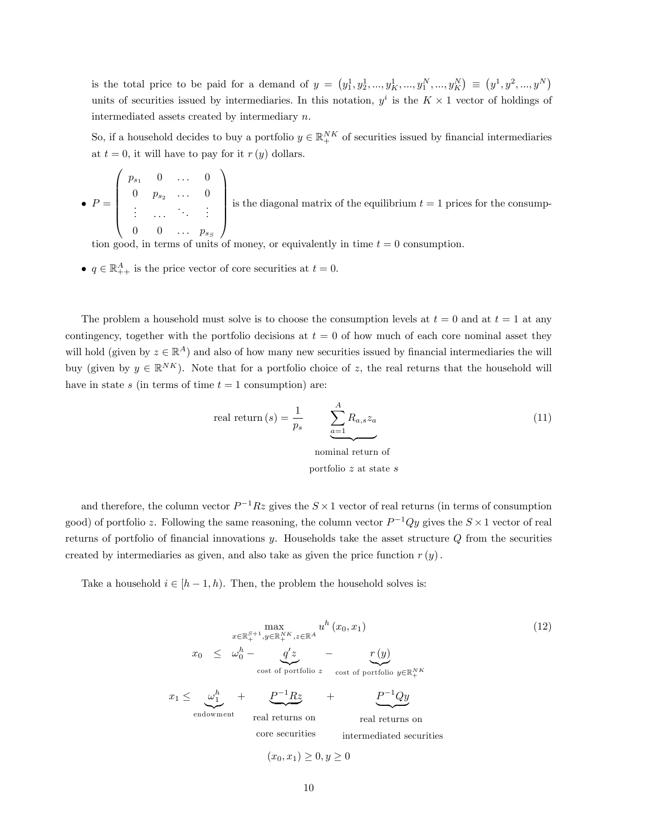is the total price to be paid for a demand of  $y = (y_1^1, y_2^1, ..., y_K^N, ..., y_K^N) \equiv (y^1, y^2, ..., y^K)$ units of securities issued by intermediaries. In this notation,  $y^i$  is the  $K \times 1$  vector of holdings of intermediated assets created by intermediary n.

So, if a household decides to buy a portfolio  $y \in \mathbb{R}^{NK}_+$  of securities issued by financial intermediaries at  $t = 0$ , it will have to pay for it  $r(y)$  dollars.

$$
\bullet \ \ P = \left( \begin{array}{cccc} p_{s_1} & 0 & \dots & 0 \\ 0 & p_{s_2} & \dots & 0 \\ \vdots & \dots & \ddots & \vdots \\ 0 & 0 & \dots & p_{s_S} \end{array} \right) \text{ is the diagonal matrix of the equilibrium } t = 1 \text{ prices for the consumption.}
$$

tion good, in terms of units of money, or equivalently in time  $t = 0$  consumption.

•  $q \in \mathbb{R}_{++}^A$  is the price vector of core securities at  $t = 0$ .

The problem a household must solve is to choose the consumption levels at  $t = 0$  and at  $t = 1$  at any contingency, together with the portfolio decisions at  $t = 0$  of how much of each core nominal asset they will hold (given by  $z \in \mathbb{R}^A$ ) and also of how many new securities issued by financial intermediaries the will buy (given by  $y \in \mathbb{R}^{NK}$ ). Note that for a portfolio choice of z, the real returns that the household will have in state s (in terms of time  $t = 1$  consumption) are:

real return 
$$
(s)
$$
 =  $\frac{1}{p_s}$  
$$
\underbrace{\sum_{a=1}^{A} R_{a,s} z_a}_{\text{nominal return of}}
$$
 (11)

portfolio z at state s

and therefore, the column vector  $P^{-1}Rz$  gives the  $S \times 1$  vector of real returns (in terms of consumption good) of portfolio z. Following the same reasoning, the column vector  $P^{-1}Qy$  gives the  $S \times 1$  vector of real returns of portfolio of financial innovations  $y$ . Households take the asset structure  $Q$  from the securities created by intermediaries as given, and also take as given the price function  $r(y)$ .

Take a household  $i \in [h - 1, h)$ . Then, the problem the household solves is:

$$
\max_{x \in \mathbb{R}_{+}^{S+1}, y \in \mathbb{R}_{+}^{NK}, z \in \mathbb{R}^{A}} u^{h}(x_{0}, x_{1})
$$
\n
$$
x_{0} \leq \omega_{0}^{h} - \underbrace{q'z}_{\text{cost of portfolio } z} - \underbrace{r(y)}_{\text{cost of portfolio } z} \text{ cost of portfolio } y \in \mathbb{R}_{+}^{NK}
$$
\n
$$
x_{1} \leq \underbrace{\omega_{1}^{h}}_{\text{endowment}} + \underbrace{P^{-1}Rz}_{\text{real returns on}} + \underbrace{P^{-1}Qy}_{\text{real returns on}} \text{real returns on}
$$
\n
$$
\text{core securities} \quad \text{intermediated securities}
$$
\n
$$
(x_{0}, x_{1}) \geq 0, y \geq 0
$$
\n
$$
(12)
$$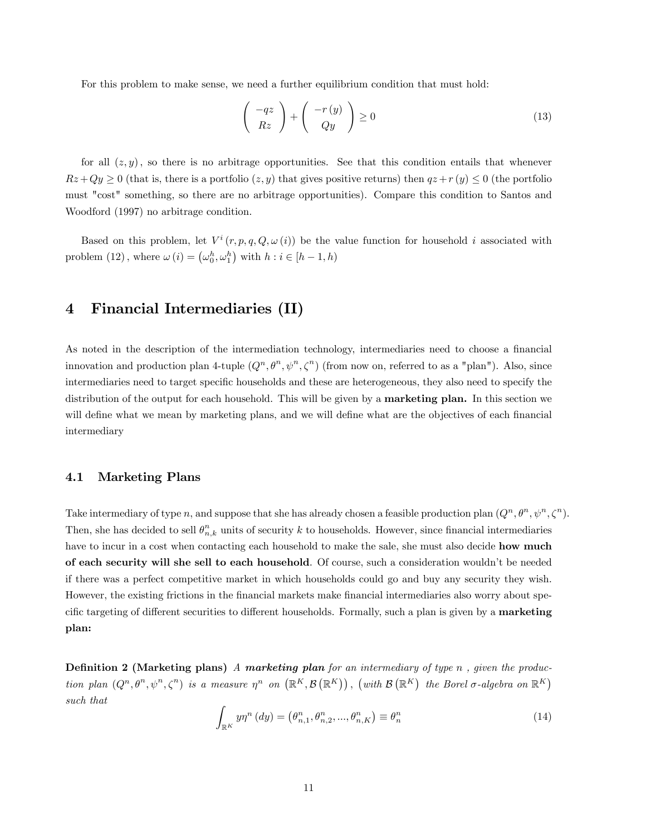For this problem to make sense, we need a further equilibrium condition that must hold:

$$
\left(\begin{array}{c} -qz\\ Rz \end{array}\right) + \left(\begin{array}{c} -r(y)\\ Qy \end{array}\right) \ge 0
$$
\n(13)

for all  $(z, y)$ , so there is no arbitrage opportunities. See that this condition entails that whenever  $Rz+Qy \ge 0$  (that is, there is a portfolio  $(z, y)$  that gives positive returns) then  $qz+r(y) \le 0$  (the portfolio must "cost" something, so there are no arbitrage opportunities). Compare this condition to Santos and Woodford (1997) no arbitrage condition.

Based on this problem, let  $V^i(r, p, q, Q, \omega(i))$  be the value function for household i associated with problem (12), where  $\omega(i) = (\omega_0^h, \omega_1^h)$  with  $h : i \in [h-1, h)$ 

# 4 Financial Intermediaries (II)

As noted in the description of the intermediation technology, intermediaries need to choose a financial innovation and production plan 4-tuple  $(Q^n, \theta^n, \psi^n, \zeta^n)$  (from now on, referred to as a "plan"). Also, since intermediaries need to target specific households and these are heterogeneous, they also need to specify the distribution of the output for each household. This will be given by a **marketing plan.** In this section we will define what we mean by marketing plans, and we will define what are the objectives of each financial intermediary

### 4.1 Marketing Plans

Take intermediary of type n, and suppose that she has already chosen a feasible production plan  $(Q^n, \theta^n, \psi^n, \zeta^n)$ . Then, she has decided to sell  $\theta_{n,k}^n$  units of security k to households. However, since financial intermediaries have to incur in a cost when contacting each household to make the sale, she must also decide **how much** of each security will she sell to each household. Of course, such a consideration wouldnít be needed if there was a perfect competitive market in which households could go and buy any security they wish. However, the existing frictions in the financial markets make financial intermediaries also worry about specific targeting of different securities to different households. Formally, such a plan is given by a **marketing** plan:

**Definition 2 (Marketing plans)** A marketing plan for an intermediary of type n, given the production plan  $(Q^n, \theta^n, \psi^n, \zeta^n)$  is a measure  $\eta^n$  on  $(\mathbb{R}^K, \mathcal{B}(\mathbb{R}^K))$ , (with  $\mathcal{B}(\mathbb{R}^K)$  the Borel  $\sigma$ -algebra on  $\mathbb{R}^K$ ) such that

$$
\int_{\mathbb{R}^K} y \eta^n \left( dy \right) = \left( \theta_{n,1}^n, \theta_{n,2}^n, \dots, \theta_{n,K}^n \right) \equiv \theta_n^n \tag{14}
$$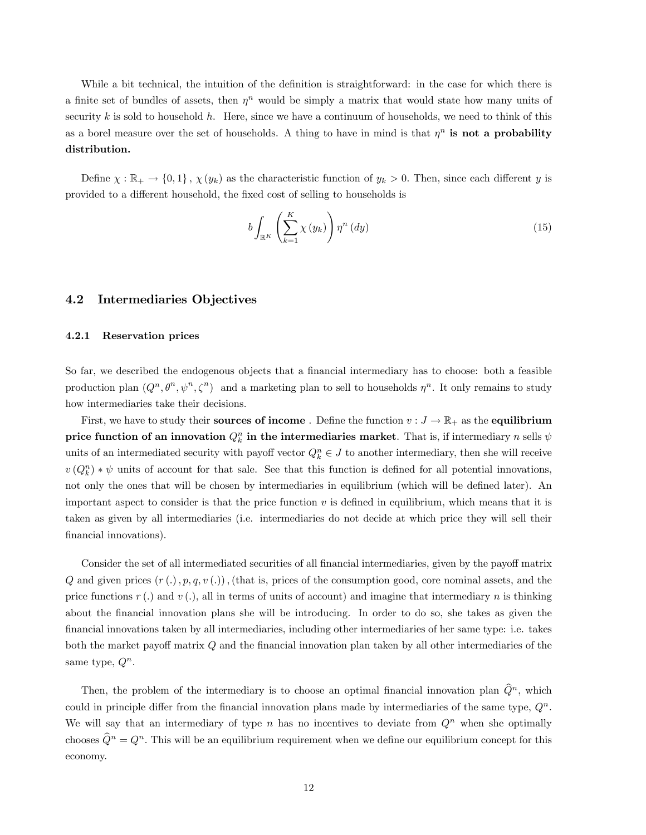While a bit technical, the intuition of the definition is straightforward: in the case for which there is a finite set of bundles of assets, then  $\eta^n$  would be simply a matrix that would state how many units of security k is sold to household h. Here, since we have a continuum of households, we need to think of this as a borel measure over the set of households. A thing to have in mind is that  $\eta^n$  is not a probability distribution.

Define  $\chi : \mathbb{R}_+ \to \{0,1\}$ ,  $\chi(y_k)$  as the characteristic function of  $y_k > 0$ . Then, since each different y is provided to a different household, the fixed cost of selling to households is

$$
b\int_{\mathbb{R}^K} \left(\sum_{k=1}^K \chi(y_k)\right) \eta^n(dy) \tag{15}
$$

#### 4.2 Intermediaries Objectives

#### 4.2.1 Reservation prices

So far, we described the endogenous objects that a financial intermediary has to choose: both a feasible production plan  $(Q^n, \theta^n, \psi^n, \zeta^n)$  and a marketing plan to sell to households  $\eta^n$ . It only remains to study how intermediaries take their decisions.

First, we have to study their **sources of income**. Define the function  $v : J \to \mathbb{R}_+$  as the **equilibrium** price function of an innovation  $Q_k^n$  in the intermediaries market. That is, if intermediary n sells  $\psi$ units of an intermediated security with payoff vector  $Q_k^n \in J$  to another intermediary, then she will receive  $v(Q_k^n) * \psi$  units of account for that sale. See that this function is defined for all potential innovations, not only the ones that will be chosen by intermediaries in equilibrium (which will be defined later). An important aspect to consider is that the price function  $v$  is defined in equilibrium, which means that it is taken as given by all intermediaries (i.e. intermediaries do not decide at which price they will sell their financial innovations).

Consider the set of all intermediated securities of all financial intermediaries, given by the payoff matrix Q and given prices  $(r(.)$ ,  $p, q, v(.)$ , (that is, prices of the consumption good, core nominal assets, and the price functions  $r(.)$  and  $v(.)$ , all in terms of units of account) and imagine that intermediary n is thinking about the financial innovation plans she will be introducing. In order to do so, she takes as given the Önancial innovations taken by all intermediaries, including other intermediaries of her same type: i.e. takes both the market payoff matrix  $Q$  and the financial innovation plan taken by all other intermediaries of the same type,  $Q^n$ .

Then, the problem of the intermediary is to choose an optimal financial innovation plan  $\widehat{Q}^n$ , which could in principle differ from the financial innovation plans made by intermediaries of the same type,  $Q<sup>n</sup>$ . We will say that an intermediary of type n has no incentives to deviate from  $Q<sup>n</sup>$  when she optimally chooses  $\widehat{Q}^n = Q^n$ . This will be an equilibrium requirement when we define our equilibrium concept for this economy.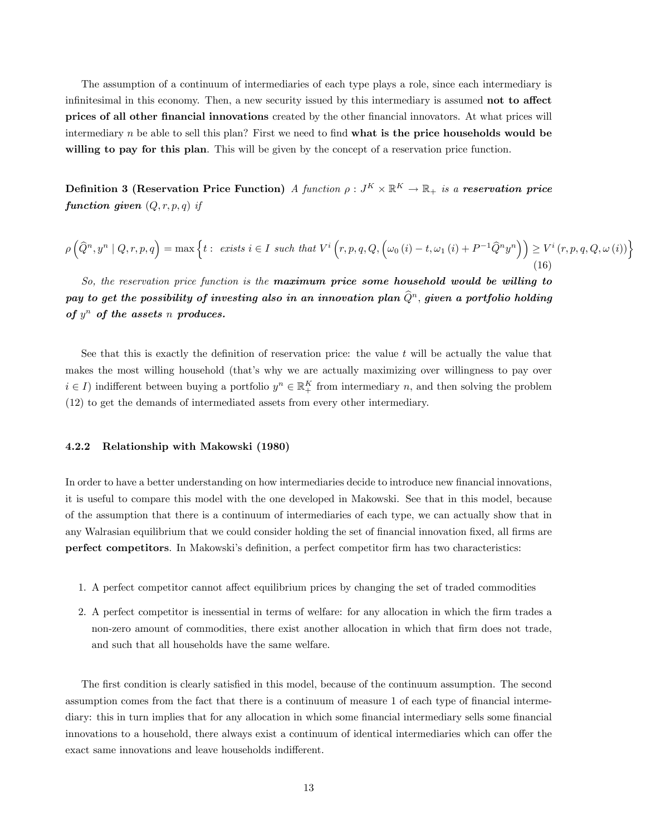The assumption of a continuum of intermediaries of each type plays a role, since each intermediary is infinitesimal in this economy. Then, a new security issued by this intermediary is assumed **not to affect** prices of all other financial innovations created by the other financial innovators. At what prices will intermediary  $n$  be able to sell this plan? First we need to find what is the price households would be willing to pay for this plan. This will be given by the concept of a reservation price function.

Definition 3 (Reservation Price Function) A function  $\rho: J^K\times \mathbb{R}^K\to \mathbb{R}_+$  is a reservation price function given  $(Q, r, p, q)$  if

$$
\rho\left(\widehat{Q}^n, y^n \mid Q, r, p, q\right) = \max\left\{t : \text{ exists } i \in I \text{ such that } V^i\left(r, p, q, Q, \left(\omega_0\left(i\right) - t, \omega_1\left(i\right) + P^{-1}\widehat{Q}^ny^n\right)\right) \geq V^i\left(r, p, q, Q, \omega\left(i\right)\right)\right\}
$$
\n(16)

So, the reservation price function is the **maximum price some household would be willing to** pay to get the possibility of investing also in an innovation plan  $\widehat{Q}^n$ , given a portfolio holding of  $y^n$  of the assets n produces.

See that this is exactly the definition of reservation price: the value  $t$  will be actually the value that makes the most willing household (that's why we are actually maximizing over willingness to pay over  $i \in I$ ) indifferent between buying a portfolio  $y^n \in \mathbb{R}^K_+$  from intermediary n, and then solving the problem (12) to get the demands of intermediated assets from every other intermediary.

#### 4.2.2 Relationship with Makowski (1980)

In order to have a better understanding on how intermediaries decide to introduce new financial innovations, it is useful to compare this model with the one developed in Makowski. See that in this model, because of the assumption that there is a continuum of intermediaries of each type, we can actually show that in any Walrasian equilibrium that we could consider holding the set of financial innovation fixed, all firms are perfect competitors. In Makowski's definition, a perfect competitor firm has two characteristics:

- 1. A perfect competitor cannot affect equilibrium prices by changing the set of traded commodities
- 2. A perfect competitor is inessential in terms of welfare: for any allocation in which the firm trades a non-zero amount of commodities, there exist another allocation in which that firm does not trade, and such that all households have the same welfare.

The first condition is clearly satisfied in this model, because of the continuum assumption. The second assumption comes from the fact that there is a continuum of measure 1 of each type of financial intermediary: this in turn implies that for any allocation in which some financial intermediary sells some financial innovations to a household, there always exist a continuum of identical intermediaries which can offer the exact same innovations and leave households indifferent.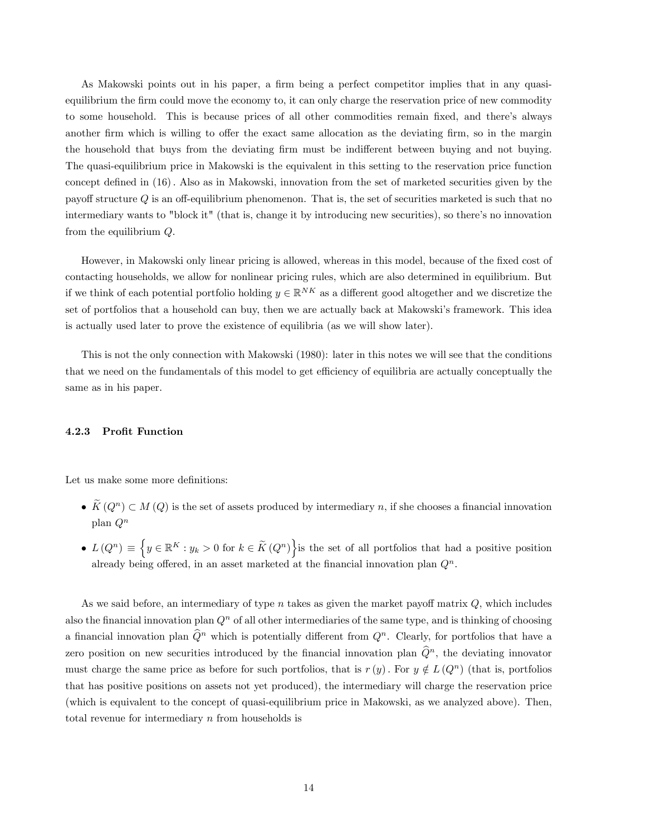As Makowski points out in his paper, a firm being a perfect competitor implies that in any quasiequilibrium the firm could move the economy to, it can only charge the reservation price of new commodity to some household. This is because prices of all other commodities remain fixed, and there's always another firm which is willing to offer the exact same allocation as the deviating firm, so in the margin the household that buys from the deviating firm must be indifferent between buying and not buying. The quasi-equilibrium price in Makowski is the equivalent in this setting to the reservation price function concept defined in (16). Also as in Makowski, innovation from the set of marketed securities given by the payoff structure  $Q$  is an off-equilibrium phenomenon. That is, the set of securities marketed is such that no intermediary wants to "block it" (that is, change it by introducing new securities), so there's no innovation from the equilibrium Q.

However, in Makowski only linear pricing is allowed, whereas in this model, because of the fixed cost of contacting households, we allow for nonlinear pricing rules, which are also determined in equilibrium. But if we think of each potential portfolio holding  $y \in \mathbb{R}^{NK}$  as a different good altogether and we discretize the set of portfolios that a household can buy, then we are actually back at Makowski's framework. This idea is actually used later to prove the existence of equilibria (as we will show later).

This is not the only connection with Makowski (1980): later in this notes we will see that the conditions that we need on the fundamentals of this model to get efficiency of equilibria are actually conceptually the same as in his paper.

#### 4.2.3 Profit Function

Let us make some more definitions:

- $\widetilde{K}(Q^n) \subset M(Q)$  is the set of assets produced by intermediary n, if she chooses a financial innovation plan  $Q^n$
- $L(Q^n) \equiv \left\{ y \in \mathbb{R}^K : y_k > 0 \text{ for } k \in \widetilde{K}(Q^n) \right\}$  is the set of all portfolios that had a positive position already being offered, in an asset marketed at the financial innovation plan  $Q<sup>n</sup>$ .

As we said before, an intermediary of type n takes as given the market payoff matrix  $Q$ , which includes also the financial innovation plan  $Q<sup>n</sup>$  of all other intermediaries of the same type, and is thinking of choosing a financial innovation plan  $\widehat{Q}^n$  which is potentially different from  $Q^n$ . Clearly, for portfolios that have a zero position on new securities introduced by the financial innovation plan  $\widehat{Q}^n$ , the deviating innovator must charge the same price as before for such portfolios, that is  $r(y)$ . For  $y \notin L(Q^n)$  (that is, portfolios that has positive positions on assets not yet produced), the intermediary will charge the reservation price (which is equivalent to the concept of quasi-equilibrium price in Makowski, as we analyzed above). Then, total revenue for intermediary  $n$  from households is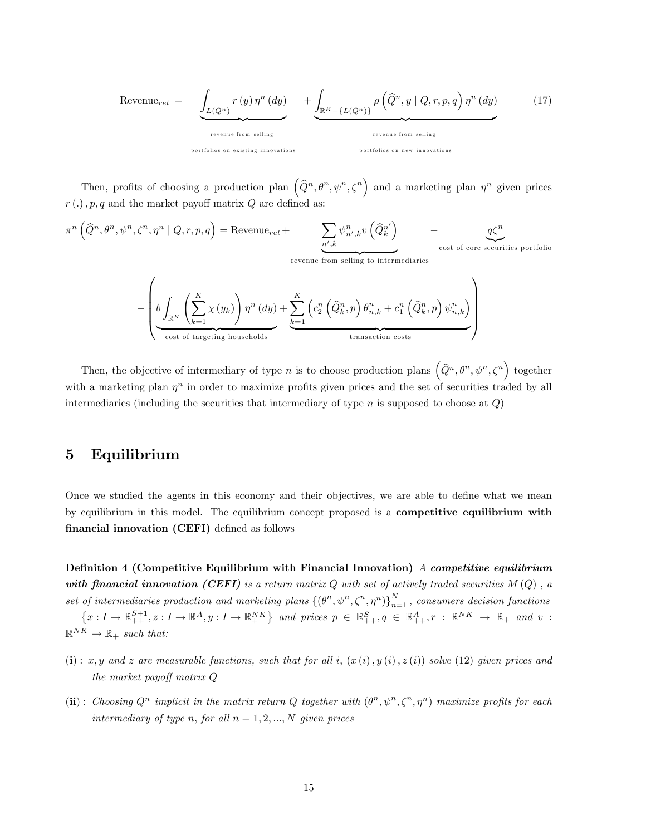$$
\text{Revenue}_{ret} = \underbrace{\int_{L(Q^n)} r(y) \eta^n(dy)}_{\text{revenue from selling}} + \underbrace{\int_{\mathbb{R}^K - \{L(Q^n)\}} \rho\left(\widehat{Q}^n, y \mid Q, r, p, q\right) \eta^n(dy)}_{\text{revenue from selling}} \qquad (17)
$$

Then, profits of choosing a production plan  $(\hat{Q}^n, \theta^n, \psi^n, \zeta^n)$  and a marketing plan  $\eta^n$  given prices  $r(.)$ ,  $p, q$  and the market payoff matrix  $Q$  are defined as:

$$
\pi^{n}(\hat{Q}^{n}, \theta^{n}, \psi^{n}, \zeta^{n}, \eta^{n} | Q, r, p, q) = \text{Revenue}_{ret} + \sum_{\substack{n',k \\ \text{revenue from selling to intermediaries}}} \psi^{n}_{n',k} v(\hat{Q}^{n'}_{k}) - \underbrace{q\zeta^{n}}_{\text{cost of core securities portfolio}}
$$

$$
-\left(\underbrace{b\int_{\mathbb{R}^K}\left(\sum_{k=1}^K \chi(y_k)\right)\eta^n\left(dy\right)}_{\text{cost of targeting households}}+\underbrace{\sum_{k=1}^K \left(c_2^n\left(\widehat{Q}_k^n,p\right)\theta_{n,k}^n+c_1^n\left(\widehat{Q}_k^n,p\right)\psi_{n,k}^n\right)}_{\text{transaction costs}}\right)
$$

Then, the objective of intermediary of type n is to choose production plans  $(\widehat{Q}^n, \theta^n, \psi^n, \zeta^n)$  together with a marketing plan  $\eta^n$  in order to maximize profits given prices and the set of securities traded by all intermediaries (including the securities that intermediary of type n is supposed to choose at  $Q$ )

# 5 Equilibrium

Once we studied the agents in this economy and their objectives, we are able to define what we mean by equilibrium in this model. The equilibrium concept proposed is a competitive equilibrium with financial innovation (CEFI) defined as follows

Definition 4 (Competitive Equilibrium with Financial Innovation) A competitive equilibrium with financial innovation (CEFI) is a return matrix  $Q$  with set of actively traded securities  $M(Q)$ , a set of intermediaries production and marketing plans  $\{( \theta^n, \psi^n, \zeta^n, \eta^n) \}_{n=1}^N$ , consumers decision functions  $\{x: I \to \mathbb{R}^{S+1}_{++}, z: I \to \mathbb{R}^A_{+}, y: I \to \mathbb{R}^{NK}_{+}\}$  and prices  $p \in \mathbb{R}^S_{++}, q \in \mathbb{R}^A_{++}, r: \mathbb{R}^{NK} \to \mathbb{R}_+$  and v:  $\mathbb{R}^{NK} \to \mathbb{R}_+$  such that:

- (i): x, y and z are measurable functions, such that for all i,  $(x(i), y(i), z(i))$  solve (12) given prices and the market payoff matrix  $Q$
- (ii): Choosing  $Q^n$  implicit in the matrix return Q together with  $(\theta^n, \psi^n, \zeta^n, \eta^n)$  maximize profits for each intermediary of type n, for all  $n = 1, 2, ..., N$  given prices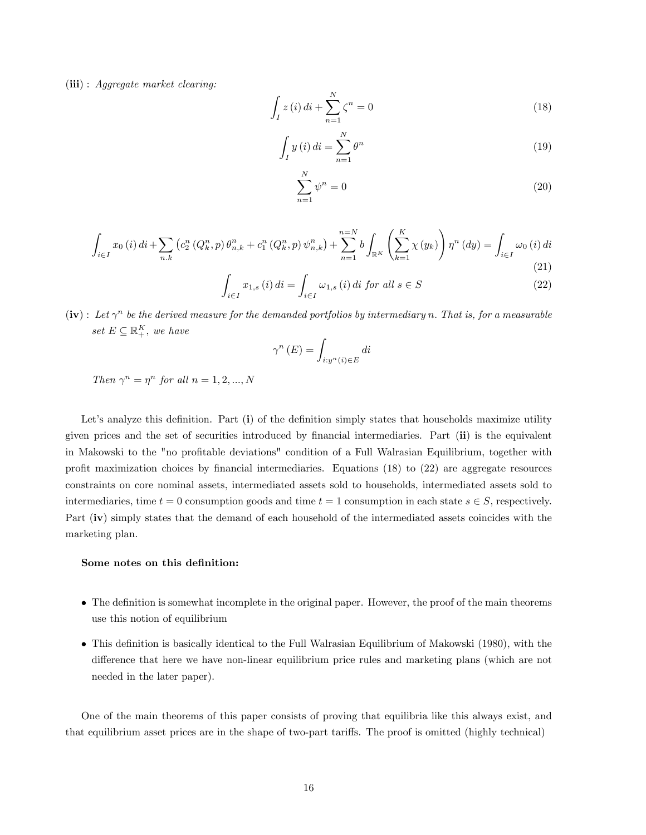(iii) : Aggregate market clearing:

$$
\int_{I} z(i) \, di + \sum_{n=1}^{N} \zeta^{n} = 0 \tag{18}
$$

$$
\int_{I} y(i) di = \sum_{n=1}^{N} \theta^{n}
$$
\n(19)

$$
\sum_{n=1}^{N} \psi^n = 0 \tag{20}
$$

$$
\int_{i \in I} x_0(i) \, di + \sum_{n,k} \left( c_2^n \left( Q_k^n, p \right) \theta_{n,k}^n + c_1^n \left( Q_k^n, p \right) \psi_{n,k}^n \right) + \sum_{n=1}^{n=N} b \int_{\mathbb{R}^K} \left( \sum_{k=1}^K \chi(y_k) \right) \eta^n \left( dy \right) = \int_{i \in I} \omega_0 \left( i \right) \, di \tag{21}
$$

$$
\int_{i \in I} x_{1,s}(i) \, di = \int_{i \in I} \omega_{1,s}(i) \, di \, for \, all \, s \in S \tag{22}
$$

 $(iv):$  Let  $\gamma^n$  be the derived measure for the demanded portfolios by intermediary n. That is, for a measurable set  $E \subseteq \mathbb{R}_+^K$ , we have

$$
\gamma^{n}\left(E\right) = \int_{i:y^{n}\left(i\right)\in E} di
$$

Then  $\gamma^n = \eta^n$  for all  $n = 1, 2, ..., N$ 

Let's analyze this definition. Part  $(i)$  of the definition simply states that households maximize utility given prices and the set of securities introduced by financial intermediaries. Part (ii) is the equivalent in Makowski to the "no profitable deviations" condition of a Full Walrasian Equilibrium, together with profit maximization choices by financial intermediaries. Equations  $(18)$  to  $(22)$  are aggregate resources constraints on core nominal assets, intermediated assets sold to households, intermediated assets sold to intermediaries, time  $t = 0$  consumption goods and time  $t = 1$  consumption in each state  $s \in S$ , respectively. Part (iv) simply states that the demand of each household of the intermediated assets coincides with the marketing plan.

### Some notes on this definition:

- The definition is somewhat incomplete in the original paper. However, the proof of the main theorems use this notion of equilibrium
- This definition is basically identical to the Full Walrasian Equilibrium of Makowski (1980), with the difference that here we have non-linear equilibrium price rules and marketing plans (which are not needed in the later paper).

One of the main theorems of this paper consists of proving that equilibria like this always exist, and that equilibrium asset prices are in the shape of two-part tari§s. The proof is omitted (highly technical)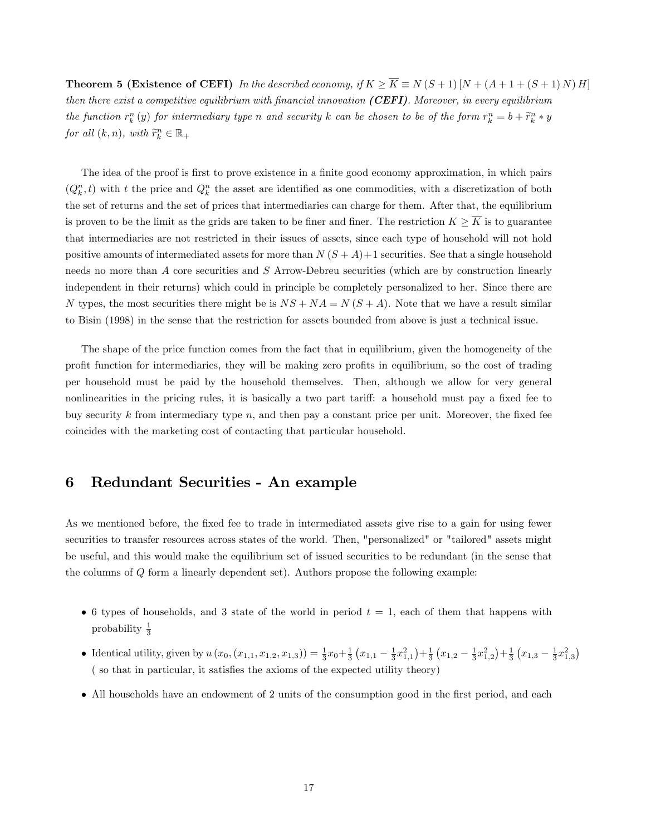**Theorem 5 (Existence of CEFI)** In the described economy, if  $K \ge \overline{K} \equiv N(S+1)[N + (A+1+(S+1)N)H]$ then there exist a competitive equilibrium with financial innovation (CEFI). Moreover, in every equilibrium the function  $r_k^n(y)$  for intermediary type n and security k can be chosen to be of the form  $r_k^n = b + \tilde{r}_k^n * y$ for all  $(k, n)$ , with  $\widetilde{r}_k^n \in \mathbb{R}_+$ 

The idea of the proof is first to prove existence in a finite good economy approximation, in which pairs  $(Q_k^n, t)$  with t the price and  $Q_k^n$  the asset are identified as one commodities, with a discretization of both the set of returns and the set of prices that intermediaries can charge for them. After that, the equilibrium is proven to be the limit as the grids are taken to be finer and finer. The restriction  $K \geq \overline{K}$  is to guarantee that intermediaries are not restricted in their issues of assets, since each type of household will not hold positive amounts of intermediated assets for more than  $N(S+A)+1$  securities. See that a single household needs no more than A core securities and S Arrow-Debreu securities (which are by construction linearly independent in their returns) which could in principle be completely personalized to her. Since there are N types, the most securities there might be is  $NS + NA = N(S + A)$ . Note that we have a result similar to Bisin (1998) in the sense that the restriction for assets bounded from above is just a technical issue.

The shape of the price function comes from the fact that in equilibrium, given the homogeneity of the profit function for intermediaries, they will be making zero profits in equilibrium, so the cost of trading per household must be paid by the household themselves. Then, although we allow for very general nonlinearities in the pricing rules, it is basically a two part tariff: a household must pay a fixed fee to buy security k from intermediary type  $n$ , and then pay a constant price per unit. Moreover, the fixed fee coincides with the marketing cost of contacting that particular household.

# 6 Redundant Securities - An example

As we mentioned before, the fixed fee to trade in intermediated assets give rise to a gain for using fewer securities to transfer resources across states of the world. Then, "personalized" or "tailored" assets might be useful, and this would make the equilibrium set of issued securities to be redundant (in the sense that the columns of Q form a linearly dependent set). Authors propose the following example:

- 6 types of households, and 3 state of the world in period  $t = 1$ , each of them that happens with probability  $\frac{1}{3}$
- Identical utility, given by  $u(x_0, (x_{1,1}, x_{1,2}, x_{1,3})) = \frac{1}{3}x_0 + \frac{1}{3}(x_{1,1} \frac{1}{3}x_{1,1}^2) + \frac{1}{3}(x_{1,2} \frac{1}{3}x_{1,2}^2) + \frac{1}{3}(x_{1,3} \frac{1}{3}x_{1,3}^2)$  $($  so that in particular, it satisfies the axioms of the expected utility theory)
- All households have an endowment of 2 units of the consumption good in the first period, and each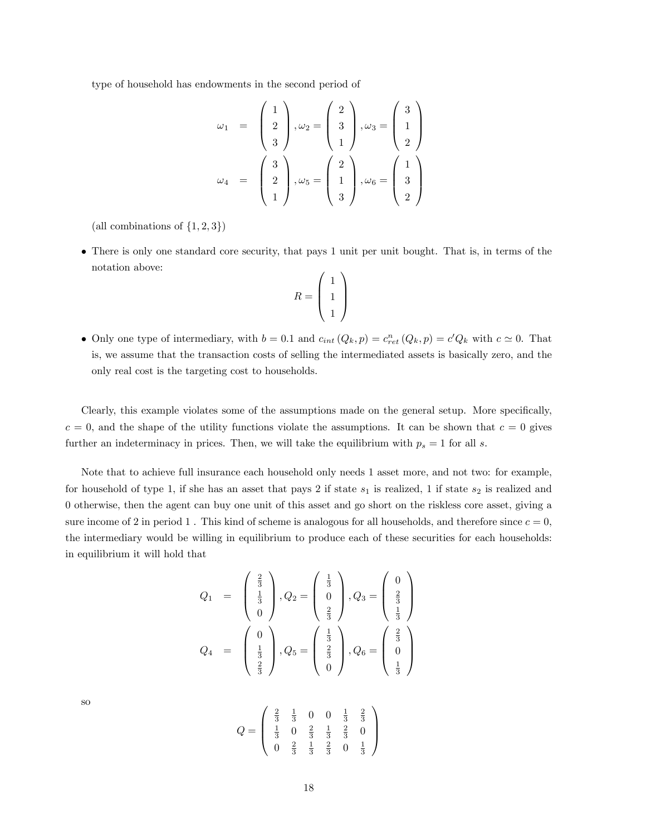type of household has endowments in the second period of

$$
\omega_1 = \begin{pmatrix} 1 \\ 2 \\ 3 \end{pmatrix}, \omega_2 = \begin{pmatrix} 2 \\ 3 \\ 1 \end{pmatrix}, \omega_3 = \begin{pmatrix} 3 \\ 1 \\ 2 \end{pmatrix}
$$

$$
\omega_4 = \begin{pmatrix} 3 \\ 2 \\ 1 \end{pmatrix}, \omega_5 = \begin{pmatrix} 2 \\ 1 \\ 3 \end{pmatrix}, \omega_6 = \begin{pmatrix} 1 \\ 3 \\ 2 \end{pmatrix}
$$

(all combinations of  $\{1, 2, 3\}$ )

 There is only one standard core security, that pays 1 unit per unit bought. That is, in terms of the notation above:

$$
R = \left(\begin{array}{c}1\\1\\1\end{array}\right)
$$

• Only one type of intermediary, with  $b = 0.1$  and  $c_{int}(Q_k, p) = c_{ret}^n(Q_k, p) = c^t Q_k$  with  $c \simeq 0$ . That is, we assume that the transaction costs of selling the intermediated assets is basically zero, and the only real cost is the targeting cost to households.

Clearly, this example violates some of the assumptions made on the general setup. More specifically,  $c = 0$ , and the shape of the utility functions violate the assumptions. It can be shown that  $c = 0$  gives further an indeterminacy in prices. Then, we will take the equilibrium with  $p_s = 1$  for all s.

Note that to achieve full insurance each household only needs 1 asset more, and not two: for example, for household of type 1, if she has an asset that pays 2 if state  $s_1$  is realized, 1 if state  $s_2$  is realized and otherwise, then the agent can buy one unit of this asset and go short on the riskless core asset, giving a sure income of 2 in period 1. This kind of scheme is analogous for all households, and therefore since  $c = 0$ , the intermediary would be willing in equilibrium to produce each of these securities for each households: in equilibrium it will hold that

$$
Q_1 = \begin{pmatrix} \frac{2}{3} \\ \frac{1}{3} \\ 0 \end{pmatrix}, Q_2 = \begin{pmatrix} \frac{1}{3} \\ 0 \\ \frac{2}{3} \end{pmatrix}, Q_3 = \begin{pmatrix} 0 \\ \frac{2}{3} \\ \frac{1}{3} \end{pmatrix}
$$

$$
Q_4 = \begin{pmatrix} 0 \\ \frac{1}{3} \\ \frac{2}{3} \end{pmatrix}, Q_5 = \begin{pmatrix} \frac{1}{3} \\ \frac{2}{3} \\ 0 \end{pmatrix}, Q_6 = \begin{pmatrix} \frac{2}{3} \\ 0 \\ \frac{1}{3} \end{pmatrix}
$$

so

$$
Q = \left(\begin{array}{cccc} \frac{2}{3} & \frac{1}{3} & 0 & 0 & \frac{1}{3} & \frac{2}{3} \\ \frac{1}{3} & 0 & \frac{2}{3} & \frac{1}{3} & \frac{2}{3} & 0 \\ 0 & \frac{2}{3} & \frac{1}{3} & \frac{2}{3} & 0 & \frac{1}{3} \end{array}\right)
$$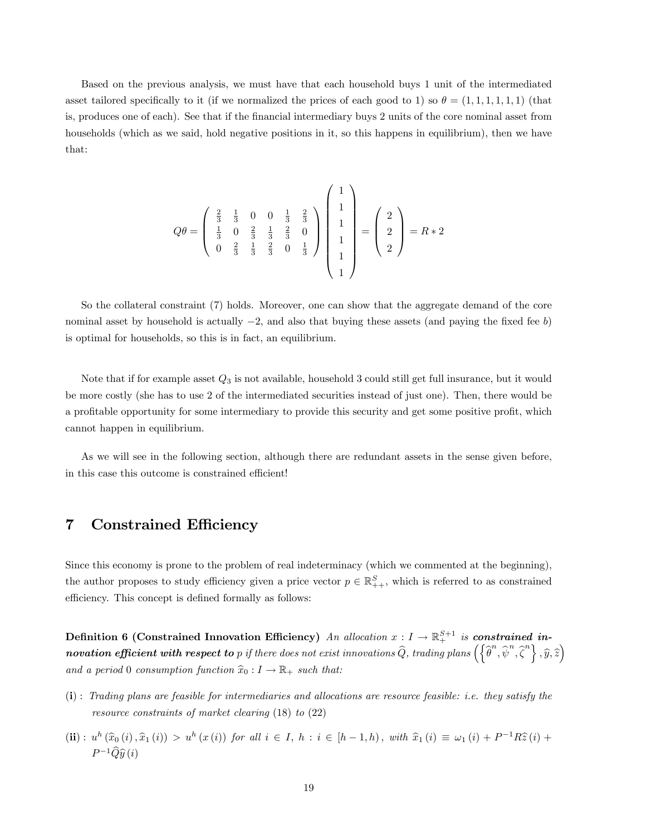Based on the previous analysis, we must have that each household buys 1 unit of the intermediated asset tailored specifically to it (if we normalized the prices of each good to 1) so  $\theta = (1, 1, 1, 1, 1, 1)$  (that is, produces one of each). See that if the financial intermediary buys 2 units of the core nominal asset from households (which as we said, hold negative positions in it, so this happens in equilibrium), then we have that:

$$
Q\theta = \begin{pmatrix} \frac{2}{3} & \frac{1}{3} & 0 & 0 & \frac{1}{3} & \frac{2}{3} \\ \frac{1}{3} & 0 & \frac{2}{3} & \frac{1}{3} & \frac{2}{3} & 0 \\ 0 & \frac{2}{3} & \frac{1}{3} & \frac{2}{3} & 0 & \frac{1}{3} \end{pmatrix} \begin{pmatrix} 1 \\ 1 \\ 1 \\ 1 \\ 1 \end{pmatrix} = \begin{pmatrix} 2 \\ 2 \\ 2 \end{pmatrix} = R * 2
$$

So the collateral constraint (7) holds. Moreover, one can show that the aggregate demand of the core nominal asset by household is actually  $-2$ , and also that buying these assets (and paying the fixed fee b) is optimal for households, so this is in fact, an equilibrium.

Note that if for example asset  $Q_3$  is not available, household 3 could still get full insurance, but it would be more costly (she has to use 2 of the intermediated securities instead of just one). Then, there would be a profitable opportunity for some intermediary to provide this security and get some positive profit, which cannot happen in equilibrium.

As we will see in the following section, although there are redundant assets in the sense given before, in this case this outcome is constrained efficient!

# 7 Constrained Efficiency

Since this economy is prone to the problem of real indeterminacy (which we commented at the beginning), the author proposes to study efficiency given a price vector  $p \in \mathbb{R}^S_{++}$ , which is referred to as constrained efficiency. This concept is defined formally as follows:

Definition 6 (Constrained Innovation Efficiency) An allocation  $x: I \to \mathbb{R}^{S+1}_+$  is constrained in- $\bm{novation~efficient~with~respect~to~}p~\textit{if there does not exist innovations}~\widehat{Q},~\textit{trading plans}~\Big(\Big\{\widehat{\theta}^n,\widehat{\psi}^n,\widehat{\zeta}^n\Big\}~,\widehat{y},\widehat{z}\Big)$ and a period 0 consumption function  $\hat{x}_0 : I \to \mathbb{R}_+$  such that:

- (i) : Trading plans are feasible for intermediaries and allocations are resource feasible: i.e. they satisfy the resource constraints of market clearing (18) to (22)
- (ii):  $u^h(\hat{x}_0(i), \hat{x}_1(i)) > u^h(x(i))$  for all  $i \in I$ ,  $h : i \in [h-1, h)$ , with  $\hat{x}_1(i) \equiv \omega_1(i) + P^{-1}R\hat{z}(i) +$  $P^{-1}\widehat{Q}\widehat{y}(i)$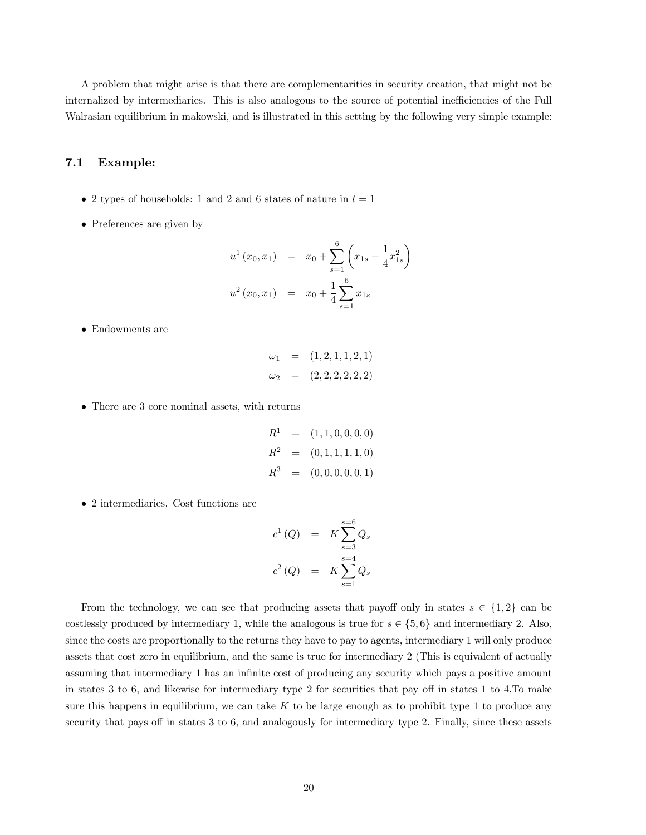A problem that might arise is that there are complementarities in security creation, that might not be internalized by intermediaries. This is also analogous to the source of potential inefficiencies of the Full Walrasian equilibrium in makowski, and is illustrated in this setting by the following very simple example:

### 7.1 Example:

- 2 types of households: 1 and 2 and 6 states of nature in  $t = 1$
- Preferences are given by

$$
u^{1}(x_{0}, x_{1}) = x_{0} + \sum_{s=1}^{6} \left(x_{1s} - \frac{1}{4}x_{1s}^{2}\right)
$$
  

$$
u^{2}(x_{0}, x_{1}) = x_{0} + \frac{1}{4} \sum_{s=1}^{6} x_{1s}
$$

Endowments are

$$
\omega_1 = (1, 2, 1, 1, 2, 1) \n\omega_2 = (2, 2, 2, 2, 2, 2)
$$

There are 3 core nominal assets, with returns

$$
R1 = (1, 1, 0, 0, 0, 0)
$$
  

$$
R2 = (0, 1, 1, 1, 1, 0)
$$
  

$$
R3 = (0, 0, 0, 0, 0, 1)
$$

2 intermediaries. Cost functions are

$$
c^{1}(Q) = K \sum_{s=3}^{s=6} Q_{s}
$$
  

$$
c^{2}(Q) = K \sum_{s=1}^{s=4} Q_{s}
$$

From the technology, we can see that producing assets that payoff only in states  $s \in \{1,2\}$  can be costlessly produced by intermediary 1, while the analogous is true for  $s \in \{5, 6\}$  and intermediary 2. Also, since the costs are proportionally to the returns they have to pay to agents, intermediary 1 will only produce assets that cost zero in equilibrium, and the same is true for intermediary 2 (This is equivalent of actually assuming that intermediary 1 has an infinite cost of producing any security which pays a positive amount in states  $3 \text{ to } 6$ , and likewise for intermediary type  $2$  for securities that pay off in states  $1 \text{ to } 4$ . To make sure this happens in equilibrium, we can take  $K$  to be large enough as to prohibit type 1 to produce any security that pays off in states 3 to 6, and analogously for intermediary type 2. Finally, since these assets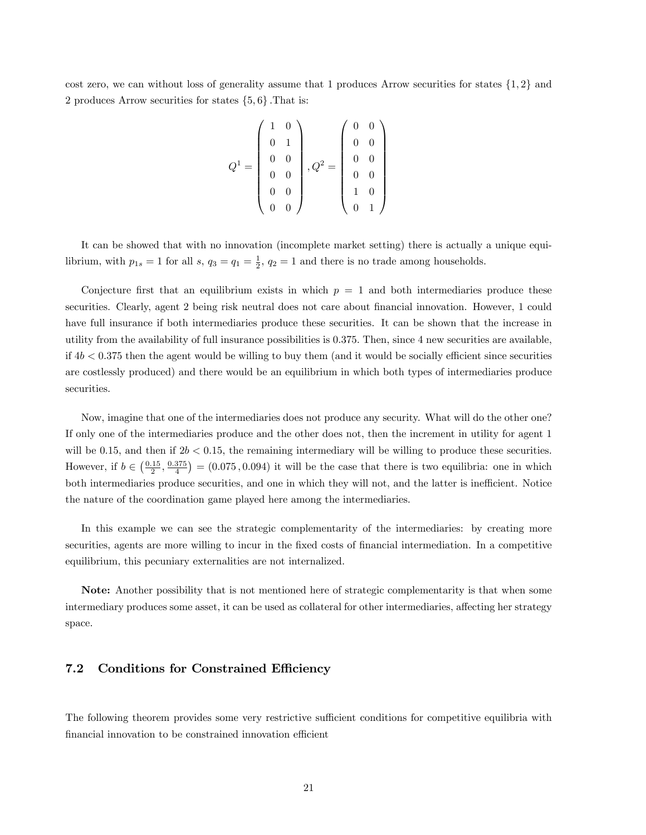cost zero, we can without loss of generality assume that 1 produces Arrow securities for states  $\{1,2\}$  and 2 produces Arrow securities for states  $\{5, 6\}$ . That is:

$$
Q^{1} = \left(\begin{array}{cc} 1 & 0 \\ 0 & 1 \\ 0 & 0 \\ 0 & 0 \\ 0 & 0 \\ 0 & 0 \\ 0 & 0 \end{array}\right), Q^{2} = \left(\begin{array}{cc} 0 & 0 \\ 0 & 0 \\ 0 & 0 \\ 0 & 0 \\ 1 & 0 \\ 0 & 1 \end{array}\right)
$$

It can be showed that with no innovation (incomplete market setting) there is actually a unique equilibrium, with  $p_{1s} = 1$  for all  $s, q_3 = q_1 = \frac{1}{2}, q_2 = 1$  and there is no trade among households.

Conjecture first that an equilibrium exists in which  $p = 1$  and both intermediaries produce these securities. Clearly, agent 2 being risk neutral does not care about financial innovation. However, 1 could have full insurance if both intermediaries produce these securities. It can be shown that the increase in utility from the availability of full insurance possibilities is 0:375: Then, since 4 new securities are available, if  $4b < 0.375$  then the agent would be willing to buy them (and it would be socially efficient since securities are costlessly produced) and there would be an equilibrium in which both types of intermediaries produce securities.

Now, imagine that one of the intermediaries does not produce any security. What will do the other one? If only one of the intermediaries produce and the other does not, then the increment in utility for agent 1 will be 0.15, and then if  $2b < 0.15$ , the remaining intermediary will be willing to produce these securities. However, if  $b \in \left(\frac{0.15}{2}, \frac{0.375}{4}\right) = (0.075, 0.094)$  it will be the case that there is two equilibria: one in which both intermediaries produce securities, and one in which they will not, and the latter is inefficient. Notice the nature of the coordination game played here among the intermediaries.

In this example we can see the strategic complementarity of the intermediaries: by creating more securities, agents are more willing to incur in the fixed costs of financial intermediation. In a competitive equilibrium, this pecuniary externalities are not internalized.

Note: Another possibility that is not mentioned here of strategic complementarity is that when some intermediary produces some asset, it can be used as collateral for other intermediaries, affecting her strategy space.

### 7.2 Conditions for Constrained Efficiency

The following theorem provides some very restrictive sufficient conditions for competitive equilibria with financial innovation to be constrained innovation efficient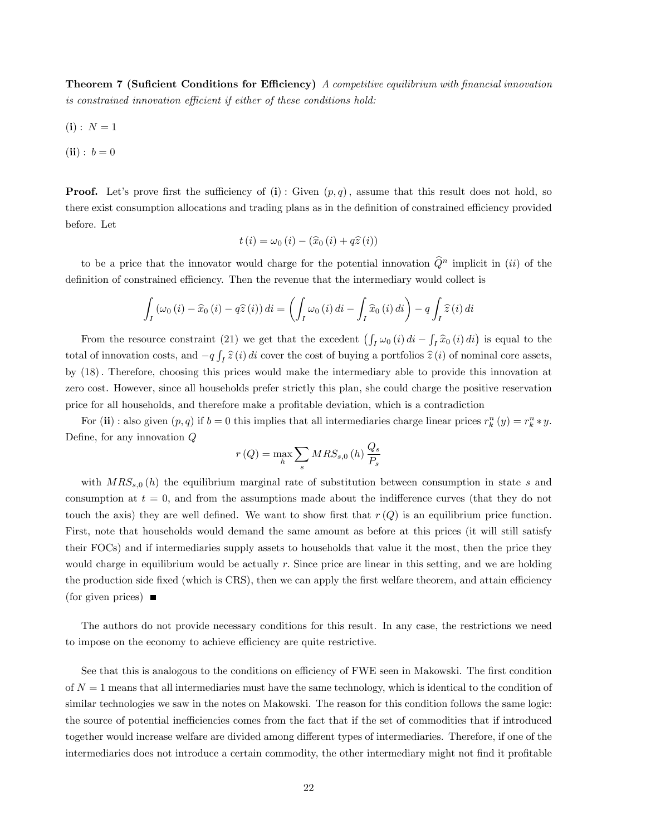**Theorem 7 (Suficient Conditions for Efficiency)** A competitive equilibrium with financial innovation is constrained innovation efficient if either of these conditions hold:

- $(i): N = 1$
- $(ii): b = 0$

**Proof.** Let's prove first the sufficiency of (i): Given  $(p,q)$ , assume that this result does not hold, so there exist consumption allocations and trading plans as in the definition of constrained efficiency provided before. Let

$$
t(i) = \omega_0(i) - (\widehat{x}_0(i) + q\widehat{z}(i))
$$

to be a price that the innovator would charge for the potential innovation  $\widehat{Q}^n$  implicit in (ii) of the definition of constrained efficiency. Then the revenue that the intermediary would collect is

$$
\int_{I} (\omega_0(i) - \widehat{x}_0(i) - q\widehat{z}(i)) di = \left( \int_{I} \omega_0(i) di - \int_{I} \widehat{x}_0(i) di \right) - q \int_{I} \widehat{z}(i) di
$$

From the resource constraint (21) we get that the excedent  $(\int_I \omega_0(i) di - \int_I \hat{x}_0(i) di)$  is equal to the total of innovation costs, and  $-q \int_I \hat{z}(i) di$  cover the cost of buying a portfolios  $\hat{z}(i)$  of nominal core assets, by (18): Therefore, choosing this prices would make the intermediary able to provide this innovation at zero cost. However, since all households prefer strictly this plan, she could charge the positive reservation price for all households, and therefore make a proÖtable deviation, which is a contradiction

For (ii) : also given  $(p, q)$  if  $b = 0$  this implies that all intermediaries charge linear prices  $r_k^n(y) = r_k^n * y$ . Define, for any innovation  $Q$ 

$$
r(Q) = \max_{h} \sum_{s} MRS_{s,0} (h) \frac{Q_s}{P_s}
$$

with  $MRS_{s,0}(h)$  the equilibrium marginal rate of substitution between consumption in state s and consumption at  $t = 0$ , and from the assumptions made about the indifference curves (that they do not touch the axis) they are well defined. We want to show first that  $r(Q)$  is an equilibrium price function. First, note that households would demand the same amount as before at this prices (it will still satisfy their FOCs) and if intermediaries supply assets to households that value it the most, then the price they would charge in equilibrium would be actually  $r$ . Since price are linear in this setting, and we are holding the production side fixed (which is CRS), then we can apply the first welfare theorem, and attain efficiency (for given prices)  $\blacksquare$ 

The authors do not provide necessary conditions for this result. In any case, the restrictions we need to impose on the economy to achieve efficiency are quite restrictive.

See that this is analogous to the conditions on efficiency of FWE seen in Makowski. The first condition of  $N = 1$  means that all intermediaries must have the same technology, which is identical to the condition of similar technologies we saw in the notes on Makowski. The reason for this condition follows the same logic: the source of potential inefficiencies comes from the fact that if the set of commodities that if introduced together would increase welfare are divided among different types of intermediaries. Therefore, if one of the intermediaries does not introduce a certain commodity, the other intermediary might not find it profitable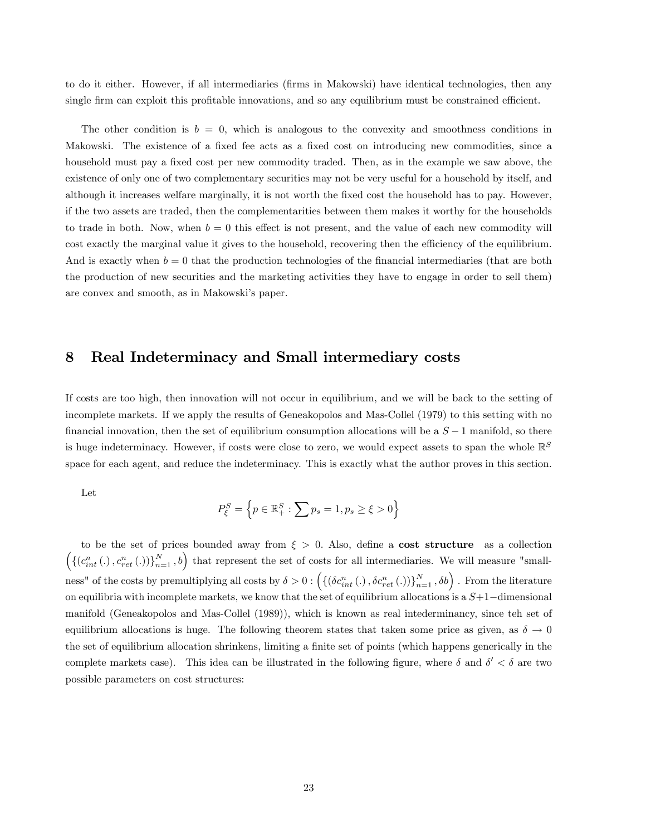to do it either. However, if all intermediaries (Örms in Makowski) have identical technologies, then any single firm can exploit this profitable innovations, and so any equilibrium must be constrained efficient.

The other condition is  $b = 0$ , which is analogous to the convexity and smoothness conditions in Makowski. The existence of a fixed fee acts as a fixed cost on introducing new commodities, since a household must pay a fixed cost per new commodity traded. Then, as in the example we saw above, the existence of only one of two complementary securities may not be very useful for a household by itself, and although it increases welfare marginally, it is not worth the fixed cost the household has to pay. However, if the two assets are traded, then the complementarities between them makes it worthy for the households to trade in both. Now, when  $b = 0$  this effect is not present, and the value of each new commodity will cost exactly the marginal value it gives to the household, recovering then the efficiency of the equilibrium. And is exactly when  $b = 0$  that the production technologies of the financial intermediaries (that are both the production of new securities and the marketing activities they have to engage in order to sell them) are convex and smooth, as in Makowski's paper.

### 8 Real Indeterminacy and Small intermediary costs

If costs are too high, then innovation will not occur in equilibrium, and we will be back to the setting of incomplete markets. If we apply the results of Geneakopolos and Mas-Collel (1979) to this setting with no financial innovation, then the set of equilibrium consumption allocations will be a  $S - 1$  manifold, so there is huge indeterminacy. However, if costs were close to zero, we would expect assets to span the whole  $\mathbb{R}^S$ space for each agent, and reduce the indeterminacy. This is exactly what the author proves in this section.

Let

$$
P_{\xi}^{S} = \left\{ p \in \mathbb{R}_{+}^{S} : \sum p_{s} = 1, p_{s} \ge \xi > 0 \right\}
$$

to be the set of prices bounded away from  $\xi > 0$ . Also, define a cost structure as a collection  $\left(\left\{(c_{int}^n(.) , c_{ret}^n(.))\right\}_{n=1}^N, b\right)$  that represent the set of costs for all intermediaries. We will measure "smallness" of the costs by premultiplying all costs by  $\delta > 0$ :  $(\{(\delta c_{int}^n(.) , \delta c_{ret}^n(.) )\}_{n=1}^N, \delta b)$ . From the literature on equilibria with incomplete markets, we know that the set of equilibrium allocations is a  $S+1$ -dimensional manifold (Geneakopolos and Mas-Collel (1989)), which is known as real intederminancy, since teh set of equilibrium allocations is huge. The following theorem states that taken some price as given, as  $\delta \to 0$ the set of equilibrium allocation shrinkens, limiting a finite set of points (which happens generically in the complete markets case). This idea can be illustrated in the following figure, where  $\delta$  and  $\delta' < \delta$  are two possible parameters on cost structures: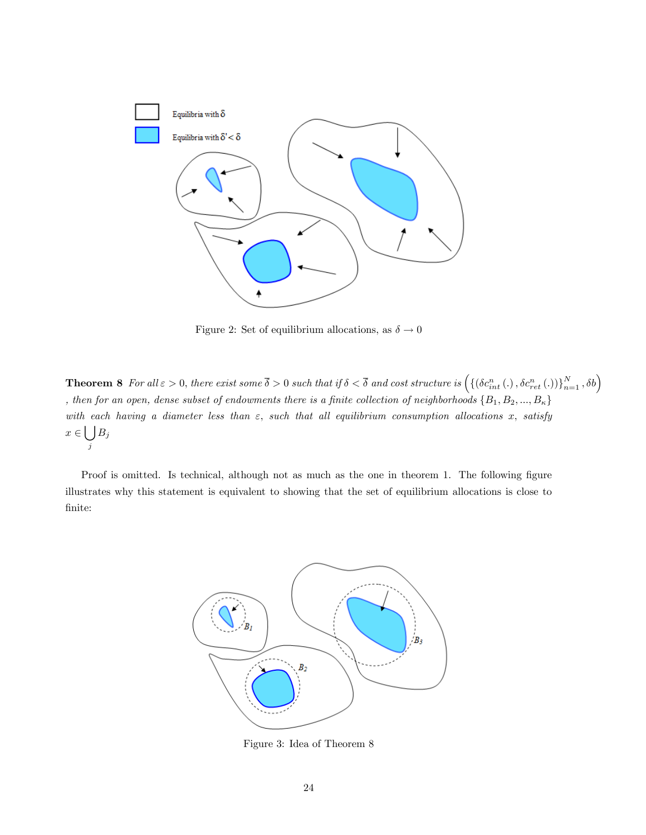

Figure 2: Set of equilibrium allocations, as  $\delta \rightarrow 0$ 

**Theorem 8** For all  $\varepsilon > 0$ , there exist some  $\overline{\delta} > 0$  such that if  $\delta < \overline{\delta}$  and cost structure is  $\left(\{\left(\delta c_{int}^n(.)\,,\delta c_{ret}^n(.)\right)\}_{n=1}^N\,,\delta b\right)$ , then for an open, dense subset of endowments there is a finite collection of neighborhoods  $\{B_1, B_2, ..., B_{\kappa}\}\$ with each having a diameter less than  $\varepsilon$ , such that all equilibrium consumption allocations x, satisfy  $x \in \bigcup$ j  $B_j$ 

Proof is omitted. Is technical, although not as much as the one in theorem 1. The following figure illustrates why this statement is equivalent to showing that the set of equilibrium allocations is close to Önite:



Figure 3: Idea of Theorem 8